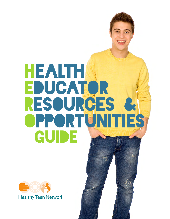# HEALTH EDUCATOR Resources & Opportunities GUIDE

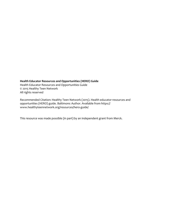#### **Health Educator Resources and Opportunities (HERO) Guide**

Health Educator Resources and Opportunities Guide © 2015 Healthy Teen Network All rights reserved

Recommended Citation: Healthy Teen Network (2015). Health educator resources and opportunities (HERO) guide. Baltimore: Author. Available from https:// www.healthyteennetwork.org/resources/hero-guide/

This resource was [made possible \(in part\) b](http://www.healthyteennetwork.org/Volt/HERO)y an independent grant from Merck.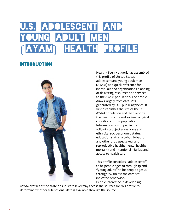## U.S. ADOLESCENT AND<br>Young Adult Men YOUNG ADULT (AYAM) HEALTH PROFILE

## **INTRODUCTION**



Healthy Teen Network has assembled this profile of United States adolescent and young adult men (AYAM) as a quick-reference for individuals and organizations planning or delivering resources and services to the AYAM population. The profile draws largely from data sets generated by U.S. public agencies. It first establishes the size of the U.S. AYAM population and then reports the health status and socio-ecological conditions of this population. Information is grouped in the following subject areas: race and ethnicity; socioeconomic status; education status; alcohol, tobacco and other drug use; sexual and reproductive health; mental health; mortality and intentional injuries; and access to health care.

This profile considers "adolescents" to be people ages 10 through 19 and "young adults" to be people ages 20 through 24, unless the data set indicated otherwise. People interested in developing

AYAM profiles at the state or sub-state level may access the sources for this profile to determine whether sub-national data is available through the source.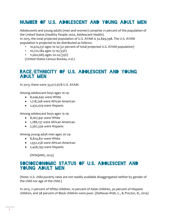## Number of U.S. Adolescent and Young Adult Men

Adolescents and young adults (men and women) comprise 21 percent of the population of the United States (Healthy People 2020, Adolescent Health).

In 2015, the total projected population of U.S. AYAM is 32,849,398. The U.S. AYAM population is projected to be distributed as follows:

- 10,474,531 ages 10-14 (32 percent of total projected U.S. AYAM population)
- 10,722,184 ages 15-19 (33%)
- $\cdot$  11,602,683 ages 20-24 (35%)

(United States Census Bureau, n.d.)

### Race/Ethnicity of U.S. Adolescent and Young Adult Men

In 2013, there were 33,077,678 U.S. AYAM.

Among adolescent boys ages 10-14:

- 8,046,692 were White
- 1,718,248 were African American
- 2,432,029 were Hispanic

Among adolescent boys ages 15-19:

- 8,267,941 were White
- 1,788,137 were African American
- 2,367,336 were Hispanic

Among young adult men ages 20-24:

- 8,824,851 were White
- 1,932,258 were African American
- 2,458,793 were Hispanic

(WISQARS, 2013)

## SOCIOECONOMIC STATUS OF U.S. ADOLESCENT AND YOUNG ADULT MEN

(Note: U.S. child poverty rates are not readily available disaggregated neither by gender of the child nor age of the child.)

In 2013, 11 percent of White children, 10 percent of Asian children, 30 percent of Hispanic children, and 38 percent of Black children were poor. (DeNavas-Walt, C., & Proctor, B., 2014)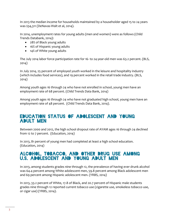In 2013 the median income for households maintained by a householder aged 15 to 24 years was \$34,311 (DeNavas-Walt et al, 2014).

In 2014, unemployment rates for young adults (men and women) were as follows (Child Trends Databank, 2014):

- 28% of Black young adults
- 16% of Hispanic young adults
- 14% of White young adults

The July 2014 labor force participation rate for 16- to 24-year-old men was 63.2 percent. (BLS, 2014)

In July 2014, 25 percent of employed youth worked in the leisure and hospitality industry (which includes food services), and 19 percent worked in the retail trade industry. (BLS, 2014)

Among youth ages 16 through 24 who have not enrolled in school, young men have an employment rate of 68 percent. (Child Trends Data Bank, 2014)

Among youth ages 16 through 24 who have not graduated high school, young men have an employment rate of 48 percent. (Child Trends Data Bank, 2014).

## Education Status of Adolescent and Young Adult Men

Between 2000 and 2012, the high school dropout rate of AYAM ages 16 through 24 declined from 12 to 7 percent. (Education, 2014)

In 2013, 81 percent of young men had completed at least a high school education. (Education, 2014)

## Alcohol, Tobacco, and Other Drug Use among U.S. Adolescent and Young Adult Men

In 2013, among students grades nine through 12, the prevalence of having ever drunk alcohol was 64.4 percent among White adolescent men, 59.8 percent among Black adolescent men and 69 percent among Hispanic adolescent men. (YRBS, 2014)

In 2013, 33.2 percent of White, 17.8 of Black, and 20.7 percent of Hispanic male students grades nine through 12 reported current tobacco use (cigarette use, smokeless tobacco use, or cigar use) (YRBS, 2014).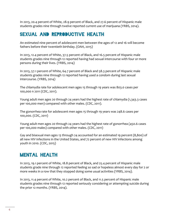In 2013, 20.4 percent of White, 28.9 percent of Black, and 27.6 percent of Hispanic male students grades nine through twelve reported current use of marijuana (YRBS, 2014).

## Sexual and Reproductive Health

An estimated nine percent of adolescent men between the ages of 12 and 16 will become fathers before their twentieth birthday. (OAH, 2015)

In 2013, 12.4 percent of White, 37.5 percent of Black, and 16.5 percent of Hispanic male students grades nine through 12 reported having had sexual intercourse with four or more persons during their lives. (YRBS, 2014)

In 2013, 57.1 percent of White, 64.7 percent of Black and 58.3 percent of Hispanic male students grades nine through 12 reported having used a condom during last sexual intercourse. (YRBS, 2014)

The chlamydia rate for adolescent men ages 15 through 19 years was 803.0 cases per 100,000 n 2011 (CDC, 2011).

Young adult men ages 20 through 24 years had the highest rate of chlamydia (1,343.3 cases per 100,000 men) compared with other males. (CDC, 2011).

The gonorrhea rate for adolescent men ages 15 through 19 years was 248.6 cases per 100,000. (CDC, 2011)

Young adult men ages 20 through 24 years had the highest rate of gonorrhea (450.6 cases per 100,000 males) compared with other males. (CDC, 2011)

Gay and bisexual men ages 13 through 24 accounted for an estimated 19 percent (8,800) of all new HIV infections in the United States, and 72 percent of new HIV infections among youth in 2010. (CDC, 2015)

## Mental Health

In 2013, 19.1 percent of White, 18.8 percent of Black, and 25.4 percent of Hispanic male students grade nine through 12 reported feeling so sad or hopeless almost every day for 2 or more weeks in a row that they stopped doing some usual activities (YRBS, 2014).

In 2013, 11.4 percent of White, 10.2 percent of Black, and 11.5 percent of Hispanic male students grades nine through 12 reported seriously considering or attempting suicide during the prior 12 months. (YRBS, 2014).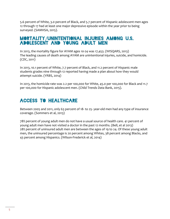5.6 percent of White, 3.0 percent of Black, and 5.7 percent of Hispanic adolescent men ages 12 through 17 had at least one major depressive episode within the year prior to being surveyed. (SAMHSA, 2015).

## Mortality/Unintentional Injuries among U.S. Adolescent and Young Adult Men

In 2013, the mortality figure for AYAM ages 10-24 was 17,453. (WISQARS, 2013) The leading causes of death among AYAM are unintentional injuries, suicide, and homicide. (CDC, 2011)

In 2013, 10.1 percent of White, 7.7 percent of Black, and 11.2 percent of Hispanic male students grades nine through 12 reported having made a plan about how they would attempt suicide. (YRBS, 2014)

In 2013, the homicide rate was 2.2 per 100,000 for White, 45.0 per 100,000 for Black and 11.7 per 100,000 for Hispanic adolescent men. (Child Trends Data Bank, 2015).

## Access to Healthcare

Between 2005 and 2011, only 63 percent of 18- to 25- year-old men had any type of insurance coverage. (Sommers et al, 2013)

78% percent of young adult men do not have a usual source of health care. 41 percent of young adult men have not visited a doctor in the past 12 months. (Bell, et al 2013) 28% percent of uninsured adult men are between the ages of 19 to 24. Of these young adult men, the uninsured percentage is 20 percent among Whites, 38 percent among Blacks, and 43 percent among Hispanics. (Wilson-Frederick et al, 2014)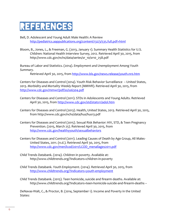## REFERENCES

- Bell, D. Adolescent and Young Adult Male Health: A Review <http://pediatrics.aappublications.org/content/132/3/535.full.pdf+html>
- Bloom, B., Jones, L., & Freeman, G. (2013, January 1). Summary Health Statistics for U.S. Children: National Health Interview Survey, 2012. Retrieved April 30, 2015, from http://www.cdc.gov/nchs/data/series/sr\_10/sr10\_258.pdf

Bureau of Labor and Statistics. (2014). *Employment and Unemployment Among Youth Summary.*

Retrieved April 30, 2015, from<http://www.bls.gov/news.release/youth.nr0.htm>

Centers for Diseases and Control (2014). Youth Risk Behavior Surveillance -- United States, 2013. *Morbidity and Mortality Weekly Report (MMWR*). Retrieved April 30, 2015, from <http://www.cdc.gov/mmwr/pdf/ss/ss6304.pdf>

- Centers for Diseases and Control (2011). STDs in Adolescents and Young Adults. Retrieved April 30, 2015, fro[m http://www.cdc.gov/std/stats11/adol.htm](http://www.cdc.gov/std/stats11/adol.htm)
- Centers for Diseases and Control (2013). Health, United States, 2013. Retrieved April 30, 2015, from http://www.cdc.gov/nchs/data/hus/hus13.pdf
- Centers for Diseases and Control (2015). Sexual Risk Behavior: HIV, STD, & Teen Pregnancy Prevention. (2015, March 25). Retrieved April 30, 2015, from <http://www.cdc.gov/healthyyouth/sexualbehaviors>
- Centers for Diseases and Control (2011). Leading Causes of Death by Age Group, All Males-United States, 2011. (n.d.). Retrieved April 30, 2015, from [http://www.cdc.gov/men/lcod/2011/LCOD\\_menallages2011.pdf](http://www.cdc.gov/men/lcod/2011/LCOD_menallages2011.pdf)
- Child Trends Databank. (2014). Children in poverty. Available at: http://www.childtrends.org/?indicators=children-in-poverty
- Child Trends Databank. *Youth Employment*. (2014). Retrieved April 30, 2015, from <http://www.childtrends.org/?indicators=youth-employment>
- Child Trends Databank. (2015). Teen homicide, suicide and firearm deaths. Available at: http://www.childtrends.org/?indicators=teen-homicide-suicide-and-firearm-deaths –

DeNavas-Walt, C., & Proctor, B. (2014, September 1). Income and Poverty in the United States: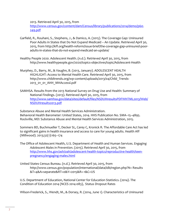2013. Retrieved April 30, 2015, from

[http://www.census.gov/content/dam/Census/library/publications/2014/demo/p60-](http://www.census.gov/content/dam/Census/library/publications/2014/demo/p60-249.pdf) [249.pdf](http://www.census.gov/content/dam/Census/library/publications/2014/demo/p60-249.pdf)

- Garfield, R., Rouhani, S., Stephens, J., & Damico, A. (2015). The Coverage Gap: Uninsured Poor Adults in States that Do Not Expand Medicaid – An Update. Retrieved April 30, 2015, from http://kff.org/health-reform/issue-brief/the-coverage-gap-uninsured-pooradults-in-states-that-do-not-expand-medicaid-an-update/
- Healthy People 2020. Adolescent Health. (n.d.). Retrieved April 30, 2015, from http://www.healthypeople.gov/2020/topics-objectives/topic/Adolescent-Health
- Murphey, D., Barry, M., & Vaughn, B. (2013, January). ADOLESCENT HEALTH HIGHLIGHT: Access to Mental Health Care. Retrieved April 30, 2015, from http://www.childtrends.org/wp-content/uploads/2013/04/Child\_Trends-2013\_01\_01\_AHH\_MHAccessl.pdf
- SAMHSA. Results from the 2013 National Survey on Drug Use and Health: Summary of National Findings. (2013). Retrieved April 30, 2015, from [http://www.samhsa.gov/data/sites/default/files/NSDUHresultsPDFWHTML2013/Web/](http://www.samhsa.gov/data/sites/default/files/NSDUHresultsPDFWHTML2013/Web/NSDUHresults2013.pdf) [NSDUHresults2013.pdf](http://www.samhsa.gov/data/sites/default/files/NSDUHresultsPDFWHTML2013/Web/NSDUHresults2013.pdf)

Substance Abuse and Mental Health Services Administration. Behavioral Health Barometer: United States, 2014. HHS Publication No. SMA–15–4895. Rockville, MD: Substance Abuse and Mental Health Services Administration, 2015.

Sommers BD, Buchmueller T, Decker SL, Carey C, Kronick R. The Affordable Care Act has led to significant gains in health insurance and access to care for young adults. Health Aff (Millwood). 2013;32(1):165–174

- The Office of Adolescent Health, U.S. Department of Health and Human Services. *Engaging Adolescent Males in Prevention*. (2015). Retrieved April 30, 2015, from [http://www.hhs.gov/ash/oah/adolescent-health-topics/reproductive-health/teen](http://www.hhs.gov/ash/oah/adolescent-health-topics/reproductive-health/teen-pregnancy/engaging-males.html)[pregnancy/engaging-males.html](http://www.hhs.gov/ash/oah/adolescent-health-topics/reproductive-health/teen-pregnancy/engaging-males.html)
- United States Census Bureau. (n.d.). Retrieved April 30, 2015, from http://www.census.gov/population/international/data/idb/region.php?N= Results &T=4&A=separate&RT=0&Y=2015&R=-1&C=US

U.S. Department of Education, National Center for Education Statistics. (2014). The Condition of Education 2014 (NCES 2014-083), Status Dropout Rates

Wilson-Frederick, S., Wendt, M., & Dorsey, R. (2014, June 1). Characteristics of Uninsured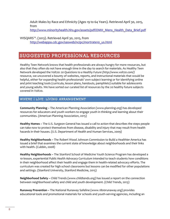Adult Males by Race and Ethnicity (Ages 19 to 64 Years). Retrieved April 30, 2015, from [http://www.minorityhealth.hhs.gov/assets/pdf/OMH\\_Mens\\_Health\\_Data\\_Brief.pdf](http://www.minorityhealth.hhs.gov/assets/pdf/OMH_Mens_Health_Data_Brief.pdf)

WISQARS™. (2013). Retrieved April 30, 2015, from [http://webappa.cdc.gov/sasweb/ncipc/mortrate10\\_us.html](http://webappa.cdc.gov/sasweb/ncipc/mortrate10_us.html)

## SUGGESTED PROFESSIONAL RESOURCES

Healthy Teen Network knows that health professionals are always hungry for more resources, but also that they often do not have enough time in the day to search for materials. As Healthy Teen Network developed the *Volt20: 20 Questions to a Healthy Future (http://www.volt20.com/)* resource, we uncovered a bounty of websites, reports, and instructional materials that would be helpful, either for expanding health professionals' own subject learning or for identifying online and print teaching tools (curricula, lesson plans, handouts, pamphlets) suitable for adolescents and young adults. We have sorted our curated list of resources by the 20 healthy future subjects covered in *Volt*20.

#### WHERE I LIVE: LIVING ARRANGEMENT

**Community Planning –** The American Planning Association (www.planning.org) has developed resources for educators and youth workers to engage youth in thinking and learning about their communities. (American Planning Association, 2015)

**Healthy Homes –** The U.S. Surgeon General has issued a call to action that describes the steps people can take now to protect themselves from disease, disability and injury that may result from health hazards in their houses. (U.S. Department of Health and Human Services, 2009)

**Healthy Neighborhoods –** The Robert Wood Johnson Commission to Build a Healthier America has issued a brief that examines the current state of knowledge about neighborhoods and their links with health. (Cubbin, 2008)

**Healthy Neighborhoods –** The Stanford School of Medicine Youth Science Program has developed a 10-lesson, experiential *Public Health Advocacy Curriculum* intended to teach students how conditions in their neighborhood affect their health and engage them in health-related advocacy efforts. The curriculum was created for high school classrooms but lessons can be modified for other populations and settings. (Stanford University, Stanford Medicine, 2015)

**Neighborhood Safety –** Child Trends (www.childtends.org) has issued a report on the connection between neighborhood safety and child and youth development. (Child Trends, 2013)

**Runaway Prevention –** The National Runaway Safeline (www.1800runaway.org) provides educational tools and promotional materials for schools and youth-serving agencies, including an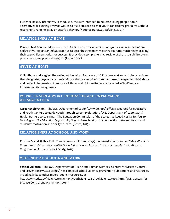evidence-based, interactive, 14 module curriculum intended to educate young people about alternatives to running away as well as to build life skills so that youth can resolve problems without resorting to running away or unsafe behavior. (National Runaway Safeline, 2007)

#### RELATIONSHIPS AT HOME

**Parent-Child Connectedness** *– Parent-Child Connectedness: Implications for Research, Interventions and Positive Impacts on Adolescent Health* describes the many ways that parents matter in improving their teen children's odds for success. It provides a comprehensive review of the research literature, plus offers some practical insights. (Lezin, 2004)

#### ABUSE AT HOME

**Child Abuse and Neglect Reporting** *– Mandatory Reporters of Child Abuse and Neglect* discusses laws that designate the groups of professionals that are required to report cases of suspected child abuse and neglect. Summaries of laws for all States and U.S. territories are included. (Child Welfare Information Gateway, 2014)

#### WHERE I LEARN & WORK: EDUCATION AND EMPLOYMENT ARRANGEMENTS

**Career Exploration –** The U.S. Department of Labor (www.dol.gov) offers resources for educators and youth workers to guide youth through career exploration. (U.S. Department of Labor, 2015) Health Barriers to Learning – The Education Commission of the States has issued *Health Barriers to Learning and the Education Opportunity Gap*, an issue brief on the connection between health and students' motivation and ability to learn. (Basch, 2015)

#### RELATIONSHIPS AT SCHOOL AND WORK

**Positive Social Skills –** Child Trends (www.childtrends.org) has issued a fact sheet on *What Works for Promoting and Enhancing Positive Social Skills: Lessons Learned from Experimental Evaluations of Programs and Interventions*. (Bandy, 2011)

#### VIOLENCE AT SCHOOL AND WORK

**School Violence –** The U.S. Department of Health and Human Services, Centers for Disease Control and Prevention (www.cdc.gov) has compiled school violence prevention publications and resources, including links to other federal agency resources, at

http://www.cdc.gov/violenceprevention/youthviolence/schoolviolence/tools.html. (U.S. Centers for Disease Control and Prevention, 2015)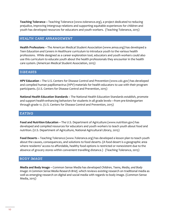**Teaching Tolerance –** Teaching Tolerance (www.tolerance.org), a project dedicated to reducing prejudice, improving intergroup relations and supporting equitable experiences for children and youth has developed resources for educators and youth workers. (Teaching Tolerance, 2015)

#### HEALTH CARE ARRANGEMENT

**Health Professions –** The American Medical Student Association (www.amsa.org) has developed a *Teen Education and Careers in Healthcare* curriculum to introduce youth to the various health professions. While designed as a career exploration tool, educators and youth workers could also use this curriculum to educate youth about the health professionals they encounter in the health care system. (American Medical Student Association, 2015)

#### DISEASES

**HPV Education –** The U.S. Centers for Disease Control and Prevention (www.cdc.gov) has developed and compiled human papillomavirus (HPV) materials for health educators to use with their program participants. (U.S. Centers for Disease Control and Prevention, 2015)

**National Health Education Standards –** The National Health Education Standards establish, promote and support health-enhancing behaviors for students in all grade levels—from pre-kindergarten through grade 12. (U.S. Centers for Disease Control and Prevention, 2015)

#### EATING

**Food and Nutrition Education –** The U.S. Department of Agriculture (www.nutrition.gov) has developed and compiled resources for educators and youth workers to teach youth about food and nutrition. (U.S. Department of Agriculture, National Agricultural Library, 2015)

**Food Deserts –** Teaching Tolerance (www.Tolerance.org) has developed a lesson plan to teach youth about the causes, consequences, and solutions to food deserts. (A food desert is a geographic area where residents' access to affordable, healthy food options is restricted or nonexistent due to the absence of grocery stores within convenient travelling distance.) (Teaching Tolerance, 2015)

#### BODY IMAGE

**Media and Body Image –** Common Sense Media has developed *Children, Teens, Media, and Body Image: A Common Sense Media Research Brief,* which reviews existing research on traditional media as well as emerging research on digital and social media with regards to body image. (Common Sense Media, 2015)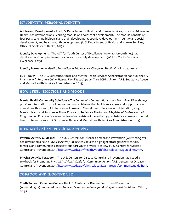#### MY IDENTITY: PERSONAL IDENTITY

**Adolescent Development –** The U.S. Department of Health and Human Services, Office of Adolescent Health, has developed an e-learning module on adolescent development. The module consists of four parts covering biological and brain development, cognitive development, identity and social development, and healthy youth development. (U.S. Department of Health and Human Services, Office of Adolescent Health, 2015)

**Identity Development –** The ACT for Youth Center of Excellence (www.actforyouth.net) has developed and compiled resources on youth identity development. (ACT for Youth Center of Excellence, 2015)

**Identity Formation –** *Identity Formation in Adolescence: Change or Stability?* (Klimstra, 2010)

**LGBT Youth –** The U.S. Substance Abuse and Mental Health Services Administration has published *A Practitioner's Resource Guide: Helping Families to Support Their LGBT Children*. (U.S. Substance Abuse and Mental Health Services Administration, 2014)

#### HOW I FEEL: EMOTIONS AND MOODS

**Mental Health Community Solutions –** The *Community Conversations about Mental Health* webpage provides information on holding a community dialogue that builds awareness and support around mental health issues. (U.S. Substance Abuse and Mental Health Services Administration, 2015) Mental Health and Substance Abuse Programs Registry – The *National Registry of Evidence-based Programs and Practices* is a searchable online registry of more than 350 substance abuse and mental health interventions. (U.S. Substance Abuse and Mental Health Services Administration, 2015)

#### HOW ACTIVE I AM: PHYSICAL ACTIVITY

**Physical Activity Guidelines –** The U.S. Centers for Disease Control and Prevention (www.cdc.gov) has developed a *Youth Physical Activity Guidelines Toolkit* to highlight strategies that schools, families, and communities can use to support youth physical activity. (U.S. Centers for Disease Control and Prevention, 2015[\)http://www.cdc.gov/healthyyouth/physicalactivity/guidelines.htm.](http://www.cdc.gov/healthyyouth/physicalactivity/guidelines.htm)

**Physical Activity Textbook –** The U.S. Centers for Disease Control and Prevention has issued a textbook for *Promoting Physical Activity: A Guide for Community Action*. (U.S. Centers for Disease Control and Prevention, 2015[\)http://www.cdc.gov/physicalactivity/strategies/communityguide.html.](http://www.cdc.gov/physicalactivity/strategies/communityguide.html)

#### TOBACCO AND NICOTINE USE

**Youth Tobacco Cessation Guide –** The U.S. Centers for Disease Control and Prevention (www.cdc.gov) has issued *Youth Tobacco Cessation: A Guide for Making Informed Decisions*. (Milton, 2015)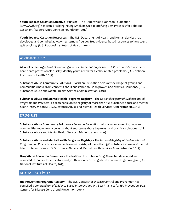**Youth Tobacco Cessation Effective Practices –** The Robert Wood Johnson Foundation (www.rwjf.org) has issued Helping Young Smokers Quit: Identifying Best Practices for Tobacco Cessation. (Robert Wood Johnson Foundation, 2012)

**Youth Tobacco Cessation Resources –** The U.S. Department of Health and Human Services has developed and compiled at www.teen.smokefree.gov free evidence-based resources to help teens quit smoking. (U.S. National Institutes of Health, 2015)

#### ALCOHOL USE

**Alcohol Screening –** *Alcohol Screening and Brief Intervention for Youth: A Practitioner's Guide* helps health care professionals quickly identify youth at risk for alcohol-related problems. (U.S. National Institutes of Health, 2015)

**Substance Abuse Community Solutions –** *Focus on Prevention* helps a wide range of groups and communities move from concerns about substance abuse to proven and practical solutions. (U.S. Substance Abuse and Mental Health Services Administration, 2010)

**Substance Abuse and Mental Health Programs Registry –** The *National Registry of Evidence-based Programs and Practices* is a searchable online registry of more than 350 substance abuse and mental health interventions. (U.S. Substance Abuse and Mental Health Services Administration, 2015)

#### DRUG USE

**Substance Abuse Community Solutions –** *Focus on Prevention* helps a wide range of groups and communities move from concerns about substance abuse to proven and practical solutions. (U.S. Substance Abuse and Mental Health Services Administration, 2010)

**Substance Abuse and Mental Health Programs Registry –** The *National Registry of Evidence-based Programs and Practices* is a searchable online registry of more than 350 substance abuse and mental health interventions. (U.S. Substance Abuse and Mental Health Services Administration, 2015)

**Drug Abuse Education Resources –** The National Institute on Drug Abuse has developed and compiled resources for educators and youth workers on drug abuse at www.drugabuse.gov. (U.S. National Institutes of Health, 2015)

#### SEXUAL ACTIVITY

**HIV Prevention Programs Registry –** The U.S. Centers for Disease Control and Prevention has compiled a *Compendium of Evidence-Based Interventions and Best Practices for HIV Prevention*. (U.S. Centers for Disease Control and Prevention, 2015)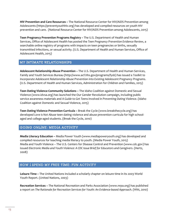**HIV Prevention and Care Resources –** The National Resource Center for HIV/AIDS Prevention among Adolescents (https://preventyouthhiv.org) has developed and compiled resources on youth HIV prevention and care. (National Resource Center for HIV/AIDS Prevention among Adolescents, 2015)

**Teen Pregnancy Prevention Programs Registry –** The U.S. Department of Health and Human Services, Office of Adolescent Health has posted the *Teen Pregnancy Prevention Evidence Review*, a searchable online registry of programs with impacts on teen pregnancies or births, sexually transmitted infections, or sexual activity. (U.S. Department of Health and Human Services, Office of Adolescent Health, 2015)

#### MY INTIMATE RELATIONSHIPS

**Adolescent Relationship Abuse Prevention –** The U.S. Department of Health and Human Services, Family and Youth Services Bureau (http://www.acf.hhs.gov/programs/fysb) has issued a *Toolkit to Incorporate Adolescent Relationship Abuse Prevention into Existing Adolescent Pregnancy Programs*. (U.S. Department of Health and Human Services, Administration for Children and Families, 2015)

**Teen Dating Violence Community Solutions –** The Idaho Coalition against Domestic and Sexual Violence (www.idvsa.org) has launched the Our Gender Revolution campaign, including public service awareness materials and *A Guide to Get Teens Involved in Preventing Dating Violence*. (Idaho Coalition against Domestic and Sexual Violence, 2015)

**Teen Dating Violence Prevention Curricula –** Break the Cycle (www.breakthecycle.org) has developed *Love is Not Abuse* teen dating violence and abuse prevention curricula for high schoolaged and college-aged students. (Break the Cycle, 2010)

#### GOING ONLINE: MEDIA ACTIVITY

**Media Literacy Education –** Media Power Youth (www.mediapoweryouth.org) has developed and compiled resources for teaching media literacy to youth. (Media Power Youth, 2015) Media and Youth Violence – The U.S. Centers for Disease Control and Prevention (www.cdc.gov) has issued *Electronic Media and Youth Violence: A CDC Issue Brief for Educators and Caregivers*. (Hertz, 2008)

#### HOW I SPEND MY FREE TIME: FUN ACTIVITY

**Leisure Time –** The United Nations included a scholarly chapter on leisure time in its 2003 World Youth Report. (United Nations, 2003)

**Recreation Services –** The National Recreation and Parks Association (www.nrpa.org) has published a report on *The Rationale for Recreation Services for Youth: An Evidence-based Approach*. (Witt, 2010)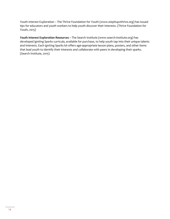Youth Interest Exploration – The Thrive Foundation for Youth (www.stepitup2thrive.org) has issued tips for educators and youth workers to help youth discover their interests. (Thrive Foundation for Youth, 2015)

**Youth Interest Exploration Resources –** The Search Institute (www.search-institute.org) has developed *Igniting Sparks* curricula, available for purchase, to help youth tap into their unique talents and interests. Each *Igniting Sparks* kit offers age-appropriate lesson plans, posters, and other items that lead youth to identify their interests and collaborate with peers in developing their sparks. (Search Institute, 2015)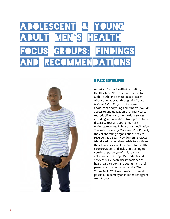## ADOLESCENT & YOUNG MEN'S HEALTH FOCUS GROUPS: FINDINGS RECOMMENDATIO



## **BACKGROUND**

American Sexual Health Association, Healthy Teen Network, Partnership for Male Youth, and School-Based Health Alliance collaborate through the *Young Male Well Visit Project* to increase adolescent and young adult men's (AYAM) access to and utilization of primary care, reproductive, and other health services, including immunizations from preventable diseases. Boys and young men are underrepresented in health care utilization. Through the Young Male Well Visit Project, the collaborating organizations seek to reverse this disparity by delivering AYAMfriendly educational materials to youth and their families, clinical materials for health care providers, and inclusion training to youth-supporting professionals and volunteers. The project's products and services will elevate the importance of health care to boys and young men, their parents, and other caring adults. The Young Male Well Visit Project was made possible (in part) by an independent grant from Merck.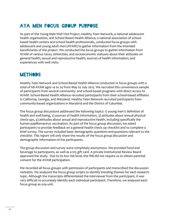## AYA Men Focus Group Purpose

As part of the *Young Male Well Visit Project*, Healthy Teen Network, a national adolescent health organization, and School-Based Health Alliance, a national association of schoolbased health centers and school health professionals, conducted focus groups with adolescent and young adult men (AYAM) to gather information from the intended beneficiaries of the project. We conducted the focus groups to gather information from AYAM of various races, ethnicities, and socioeconomic statuses about their attitudes on general health; sexual and reproductive health; sources of health information; and experiences with well visits.

## **METHODS**

Healthy Teen Network and School-Based Health Alliance conducted 10 focus groups with a total of 68 AYAM ages 14 to 24 from May to July 2015. We recruited this convenience sample of participants from several community- and school-based programs with direct access to AYAM. School-Based Health Alliance recruited participants from their school-based affiliates in California, Georgia, and Maryland. Healthy Teen Network recruited participants from community-based organizations in Maryland and the District of Columbia.

The focus group discussions addressed the following topics: 1) young men's definition of health and well-being, 2) sources of health information, 3) attitudes about annual physical check-ups, 4) attitudes about sexual and reproductive health, including specifically the human papillomavirus vaccination. As part of the focus group discussion, we asked participants to provide feedback on a general health check-up checklist and to complete a brief survey. The survey included basic demographic questions and questions relevant to the checklist. This report will only share the results of the focus group discussion and demographic information of the participants.

The group discussion and survey were completely anonymous. We provided food and beverage to participants, as well as a \$15 gift card. A private Institutional Review Board approved the study. Due to its low risk level, the IRB did not require us to obtain parental consent for the AYAM participation.

We recorded all focus groups with permission of participants and transcribed the discussion verbatim. We analyzed the focus group scripts to identify trending themes for each research topic. Although the transcripts differentiated the interviewer from the participant, it was very difficult to accurately identify each individual participant. Therefore, we analyzed each focus group as one unit.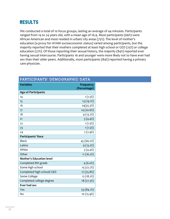## **RESULTS**

We conducted a total of 10 focus groups, lasting an average of 44 minutes. Participants ranged from 14 to 24 years old, with a mean age of 16.9. Most participants (66%) were African American and most resided in urban/ city areas (75%). The level of mother's education (a proxy for AYAM socioeconomic status) varied among participants, but the majority reported that their mothers completed at least high school or GED (25%) or college education (27%). Of those reporting their sexual history, the majority (84%) reported ever having sexual intercourse. Participants 16 and younger were more likely not to have ever had sex than their older peers. Additionally, most participants (84%) reported having a primary care physician.

| <b>Variables</b>                | <b>Frequency</b><br>(Percentage) |
|---------------------------------|----------------------------------|
| <b>Age of Participants</b>      |                                  |
| 14                              | 1(1.5%)                          |
| 15                              | 13 (19.1%)                       |
| 16                              | 24(35.3%)                        |
| 17                              | 14 (20.6%)                       |
| 18                              | 9(13.2%)                         |
| 21                              | 3(4.4%)                          |
| 22                              | 1(1.5%)                          |
| 23                              | 1(1.5%)                          |
| 24                              | 2(2.9%)                          |
| Participants' Race              |                                  |
| <b>Black</b>                    | 45 (66.2%)                       |
| Latino                          | 9(13.2%)                         |
| White                           | 3(4.4%)                          |
| Other                           | 11 (16.2%)                       |
| <b>Mother's Education level</b> |                                  |
| Completed 8th grade             | 4(6.0%)                          |
| Some high school                | 15 (22.7%)                       |
| Completed high school/ GED      | 17 (25.8%)                       |
| Some College                    | 12 (18.2%)                       |
| Completed college degree        | 18 (27.3%)                       |
| Ever had sex                    |                                  |
| Yes                             | 53 (84.1%)                       |
| No                              | 10 (15.9%)                       |

#### PARTICIPANTS' DEMOGRAPHIC DATA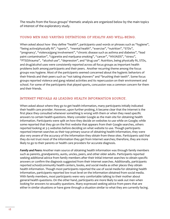The results from the focus groups' thematic analysis are organized below by the main topics of interest of the exploratory study.

#### YOUNG MEN HAD VARYING DEFINITIONS OF HEALTH AND WELL-BEING.

When asked about how they define "health", participants used words or phrases such as "hygiene", "being active/physically fit", "sports", "mental health", "exercise", "nutrition", "STDs", "pregnancy', "violence/gang involvement", "chronic disease such as asthma and diabetes", "lead paint contamination", "cigarette and marijuana smoking", "cancer", "HIV/AIDS", "stress", "PTSD/trauma", "alcohol use", "depression", and "drug use". Nutrition, being physically fit, STDs, and drug/alcohol uses were consistently reported across all focus groups as important health problems both among participants and their peers. Another recurring theme among the focus groups was hygiene. Most of the participants seemed concerned about the hygienic behaviors of their friends and their peers such as "not taking showers" and "brushing their teeth". Some focus groups reported violence and gang related activities and its repercussion on their environment and school. For some of the participants that played sports, concussion was a common concern for them and their friends.

#### INTERNET PREVAILS AS LEADING HEALTH INFORMATION SOURCE.

When asked about where they go to get health information, many participants initially indicated their health care provider. However, upon further probing, it became clear that the Internet is the first place they consulted whenever something is wrong with them or when they need specific answers to certain health questions. Many consider Google as the main site for obtaining health information. Participants were split on how they decide on websites to use while on Google; while some reported that they go on the first website that appears from their Google searches, others reported looking at 3-5 websites before deciding on what website to use. Though participants reported internet searches as their top primary source of obtaining health information, they were also very aware of the accuracy of the information they obtain from these sites. Participants said that they do not trust most of the information they get from Internet searches; therefore, they are more likely to go to their parents or health care providers for accurate diagnosis.

*Family and Peers:* Another main source of obtaining health information was through family members such as parents, grandparents, aunts, uncles, peers, and other older adults. Participants reported seeking additional advice from family members after their initial Internet searches to obtain specific answers or confirm the diagnosis suggested from their internet searches. Additionally, participants reported school/community health centers, books, and social media as other places they obtain health information. Though most participants reported the use of social media for obtaining health information, participants reported low trust level on the information obtained from social media. With family members, most participants were very comfortable talking to their mother about general health questions. On the other hand, participants are more likely to seek out men when looking for answers to sexuality questions. Many expressed seeking advice from peers that are either in similar situations or have gone through a situation similar to what they are currently facing.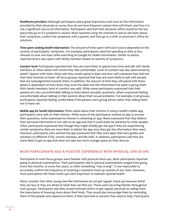*Healthcare providers:* Although participants place great importance and trust on the information provided by their physician or nurse, they do not have frequent contact time with them, and thus it is not a significant source of information. Participants said that their physician office would be the last place they go to if a symptom is severe. Most reported using the Internet to search and learn about their symptoms, confirm the symptoms with a parent, and then go to a clinic or physician's office for solutions.

*Time spent seeking health information:* The amount of time spent with each source depended on the severity of participants' symptoms. For example, participants reported spending as little as five minutes to over one hour while searching on Google for health information. Similar to above, reported time is also spent with family members based on severity of symptoms.

*Comfort level***:** Participants reported that they are more likely to spend more time and talk with family members or other adults with whom they feel comfortable. Level of comfort was also determined by adults' rapport with them. Most said they would spend at least one hour with someone they feel has their best interests at heart. All focus groups reported that they are more likely to talk with people that are nonjudgmental towards them. In addition, the amount of time they will spend with these adults is dependent on how much they trust the adult and the information the adult is giving them. With family members, level of comfort was split. While some participants expressed that their parents are very uncomfortable talking to them about sexuality questions, others expressed feeling uncomfortable about talking to their parents about their sexual problems. For example, in all groups, participants reported feeling comfortable if the parents were giving advice rather than telling them not to have sex.

*Mobile app for health information:* When asked about their interest in using a health mobile app, participants were split on their interest. While some of the participants wanted an app to answer their questions, some expressed no interest in obtaining an app. Many expressed that they believe their personal information is not safe on an app and that it could easily be obtained by other people. Other participants expressed that though they might initially get the app if they are experiencing certain symptoms; they are more likely to delete the app once they get the information they need. However, participants who wanted the app expressed that they want apps that have guides and solutions to different STDs, chronic diseases, and life skills. In addition, participants said they are more likely to get an app that does not take too much storage space on their devices.

#### MOST PARTICIPANTS HAD A POSITIVE EXPERIENCE WITH PHYSICAL CHECK-UPS.

Participants in most focus groups were familiar with physical check-ups. Most participants reported going to physical examinations. Their participation rate in physical examinations ranged from going every few months, to every few years, to when something "was wrong". It was impossible to accurately confirm the frequency of receiving a standard check-up outside of sick visits. However, most participants felt these check-ups were important to maintain optimal health.

Many consider that other young men like themselves do not get regular check-ups because either they are lazy or they are afraid of what they can find out. These were recurring themes throughout most groups. Participants said they would motivate others to get regular physicals by telling them the importance of knowing more about their body. They would also encourage them by reminding them of the people who depend on them, if they have kids or parents they need to help. Participants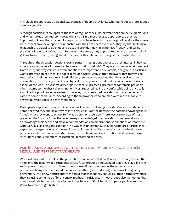in multiple groups related personal experiences of people they knew who found out too late about a chronic condition.

Although participants are open to the idea of regular check-ups, all were clear on their expectations and what makes them feel comfortable in a visit. First, most focus groups reported that it is important to know the provider. Some participants have been to the same provider since they were born, others have developed a relationship with their providers over time. They say that building a relationship is crucial to open up and trust the provider. Having an honest, friendly, and caring provider is important to boost comfort levels. Moreover, they appreciate the time providers take in getting to know them, asking about their day, or their life, rather than just focusing on the visit.

Throughout the discussion sessions, participants in most groups expressed their interest in having accurate and complete information before and during their visit. They want to know what to expect from a visit, and why certain recommendations are important. For example, one group in particular wants information of a step-by-step process of a typical visit, so they are aware that they will be touched and their genitalia examined. Although some acknowledged that they receive some information, the touching aspect of a physical check-up was considered the most uncomfortable aspect of the visit. The vast majority of participants expressed a preference for female providers when it came to the physical examination. Most reported feeling uncomfortable being physically examined by providers who are men. However, many preferred providers who are men when it came to some health issues. According to them, providers who are men were more suitable to answer questions because they were men.

Participants expressed diverse opinions when it came to following providers' recommendations. Some believed they should always follow a physician's advice because the doctors knowledgeable; "that's what they went to school for" was a common assertion. There was a great deal of trust placed on the "doctor" title. However, many acknowledged that providers sometimes do not acknowledge their needs and make recommendations on medications, vaccinations or treatment without fully explaining the condition in a way they understand. Also, Maryland-area participants expressed divergent views of the medical establishment. While some fully trust the health care providers and community clinic staff, many distrust large medical institutions and believe these institutions conduct unethical research on uninformed patients.

#### PARTICIPANTS ACKNOWLEDGE THEY HAVE AN IMPORTANT ROLE IN THEIR SEXUAL AND REPRODUCTIVE HEALTH.

When asked about their role in the prevention of an unintended pregnancy or sexually transmitted infections, the majority of participants across focus groups acknowledged that they play a big role. As for protection, participants in most groups mentioned condoms as the primary form of protection. Many also mentioned the pull-out method (or withdrawal) as a form of pregnancy prevention. Only a few participants mentioned that as men they should ask their partners whether they are using some type of birth control method. Participants in most groups also mentioned that men should talk to their partners to see if they have any STI. A handful of participants mentioned going to a clinic to get tested.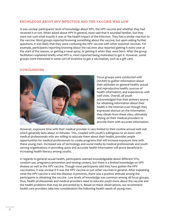#### KNOWLEDGE ABOUT HPV INFECTION AND THE VACCINE WAS LOW.

It was unclear participants' level of knowledge about HPV, the HPV vaccine and whether they had received it or not. When asked about HPV in general, most said that it sounded familiar, but they were not sure what exactly it was or the health impact of the infection. They had a similar reaction to the vaccine. Most groups reported knowing something about the vaccine, but upon asking further questions, it was likely that they were confusing the HPV vaccine with other seasonal vaccines. For example, participants reporting knowing about the vaccines also reported getting it every year at the start of the season, or getting a nasal spray, or getting it when they were born. After the group facilitators explained briefly what HPV is, most reported being motivated to get it. However, some groups were interested in some sort of incentive to get a vaccination, such as a gift card.

#### CONCLUSIONS



Focus groups were conducted with (AYAM) to gather information about their attitudes on general health; sexual and reproductive health; sources of health information; and experiences with well visits. Overall, all youth acknowledged that their primary source for obtaining information about their health is the internet even though they expressed distrust on the information they obtain from these sites; ultimately relying on their medical providers to provide them with accurate information.

However, exposure time with their medical provider is very limited to their routine annual well visit which generally lasts about 20 minutes. This, coupled with youth's willingness to sit down with medical professionals who are willing to educate them about their health, provides ample opportunities for medical professionals to create programs that will increase exposure time with these young men. Increased use of technology and social media by medical professionals and youth serving organizations in providing quick and accurate health information will prove beneficial in increasing health literacy among youths.

In regards to general sexual health, participants seemed knowledgeable about different STIs, condom use, pregnancy prevention and testing centers, but there is a limited knowledge on HPV disease as well as the HPV vaccine. Though most participants said they have gotten the HPV vaccination, it was unclear if it was the HPV vaccine or just other vaccines in general. After explaining what the HPV vaccine is and the diseases it prevents, there was a positive attitude among the participants in obtaining the vaccine. Low levels of knowledge was common among all focus groups; thus, health professionals and medical providers need to educate youth more about the vaccine and the health problems that may be prevented by it. Based on these observations, we recommend health care providers take into consideration the following health needs of young men.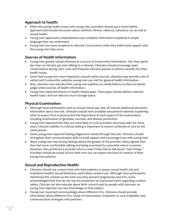#### **Approach to health:**

- When discussing health issues with young men, providers should use a more holistic approach and include discussion about nutrition, fitness, violence, substance use as well as sexual health.
- Young men appreciate comprehensive and complete information explained in simple language they can understand.
- Young men are more receptive to clinician's instructions when they build some rapport with the young men they serve.

#### **Sources of Health Information:**

- Young men greatly valued clinicians as a source of trustworthy information. Yet, they spend less than 30 minutes per year talking to a clinician. Clinicians should encourage open conversations during clinic visits and frequent clinical in-person or phone consults for other health issues.
- Given that young men most frequently consult online sources, clinicians may provide a list of vetted and trustworthy websites young men can visit for general health information.
- Also, clinicians may educate their young men patients on media literacy so they can better judge online sources of health information.
- Young men reported interest in health related apps. These apps should address relevant health topics and not take too much storage space.

#### **Physical Examination:**

- Although most participants went to annual check-ups, they all wanted additional education information about the visit. Clinicians should have available educational materials explaining what to expect from a physical and the importance of each aspect of the examination, including examination of genitalia, vaccines, and disease prevention.
- Young men reported that they are more likely to trust providers they have seen for many years. Clinician stability in a clinical setting is important to ensure continuity of care by the same person.
- Some young men reported feeling judged and rushed through the visit. Clinicians should strengthen their communication skills to build rapport and encourage trust with young men.
- Many young men had strong feelings about the gender of the provider. Many agreed that they feel more comfortable talking and being examined by a provider who is a woman. However, they preferred a provider who is a man if they had to talk about "men things." Providers should be aware of how their own sex can impact the level of comfort of their young men patients.

#### **Sexual and Reproductive Health:**

- Clinicians should use contact time with their patients to assess sexual health risk and emphasize healthy sexual behaviors, particularly condom use. Although most participants mentioned the condom as the main way they prevent pregnancies and STIs, some acknowledged that they do not use any protection or expressed myths regarding condom safety. Clinician can also educate about birth control used by people with uteruses, as young men reported very low knowledge on that subject.
- Young men reported low knowledge about different STIs. Clinicians should provide information about different STIs, mode of transmission, treatment or cure availability and communication strategies with partners.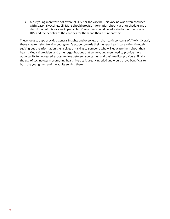Most young men were not aware of HPV nor the vaccine. This vaccine was often confused with seasonal vaccines. Clinicians should provide information about vaccine schedule and a description of this vaccine in particular. Young men should be educated about the risks of HPV and the benefits of the vaccines for them and their future partners.

These focus groups provided general insights and overview on the health concerns of AYAM. Overall, there is a promising trend in young men's action towards their general health care either through seeking out the information themselves or talking to someone who will educate them about their health. Medical providers and other organizations that serve young men need to provide more opportunity for increased exposure time between young men and their medical providers. Finally, the use of technology in promoting health literacy is greatly needed and would prove beneficial to both the young men and the adults serving them.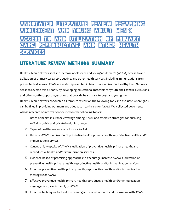## ANNOTATED LITERATURE REVIEW REGARDING ADOLESCENT AND YOUNG ADULT MEN'S ACCESS TO AND UTILIZATION OF PRIMARY CARE, REPRODUCTIVE, AND OTHER HEALTH **SERVICES**

## Literature Review Methods Summary

Healthy Teen Network seeks to increase adolescent and young adult men's (AYAM) access to and utilization of primary care, reproductive, and other health services, including immunizations from preventable diseases. AYAM are underrepresented in health care utilization. Healthy Teen Network seeks to reverse this disparity by developing educational materials for youth, their families, clinicians, and other youth-supporting entities that provide health care to boys and young men. Healthy Teen Network conducted a literature review on the following topics to evaluate where gaps can be filled in providing optimum and adequate healthcare for AYAM. We collected documents whose research or information focused on the following topics:

- 1. Rates of health insurance coverage among AYAM and effective strategies for enrolling AYAM in public and private health insurance.
- 2. Types of health care access points for AYAM.
- 3. Rates of AYAM's utilization of preventive health, primary health, reproductive health, and/or immunization services.
- 4. Causes of low uptake of AYAM's utilization of preventive health, primary health, and reproductive health and/or immunization services.
- 5. Evidence-based or promising approaches to encourage/increase AYAM's utilization of preventive health, primary health, reproductive health, and/or immunization services.
- 6. Effective preventive health, primary health, reproductive health, and/or immunization messages for AYAM.
- 7. Effective preventive health, primary health, reproductive health, and/or immunization messages for parents/family of AYAM.
- 8. Effective techniques for health screening and examination of and counseling with AYAM.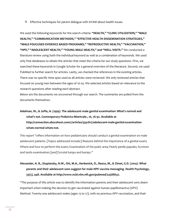#### 9. Effective techniques for parent dialogue with AYAM about health issues.

We used the following keywords for the search criteria: **"HEALTH," "CLINIC UTILIZATION," "MALE HEALTH," "COMMUNICATION METHODS," "EFFECTIVE HEALTH DISSEMINATION STRATEGIES," "MALE-FOUCUSED EVIDENCE BASED PROGRAMS," "REPRODUCTIVE HEALTH," "VACCINATION," "HPV," "ADOLESCENT HEALTH," "YOUNG MALE HEALTH," and "WELL VISITS."** We conducted a literature review using both the individual keyword as well as a combination of keywords. We used only free databases to obtain the articles that meet the criteria for our study questions. First, we searched these keywords in Google Scholar for a general overview of the literature. Second, we used PubMed to further search for articles. Lastly, we checked the references in the existing articles. There was no specific time span used as all articles were reviewed. We only reviewed articles that focused on young men between the ages of 10-24. We selected articles based on relevance to the research questions after reading each abstract.

Below are the documents we uncovered through our search. The summaries are pulled from the documents themselves.

#### **Adelman, W., & Joffe, A. (1999). The adolescent male genital examination: What's normal and what's not.** *Contemporary Pediatrics***-Montvale-,** *16***, 76-92. Available at http://connection.ebscohost.com/c/articles/3931817/adolescent-male-genital-examinationwhats-normal-whats-not.**

This report "offers information on how pediatricians should conduct a genital examination on male adolescent patients. [Topics addressed include:] Reasons behind the importance of a genital exam; Where and how to perform the exam; Examination of the pubic area; Pearly penile papules; Scrotum and testis examination; [and] Scrotal lumps and bumps."

#### **Alexander, A. B., Stupiansky, N.W., Ott, M.A., Herbenick, D., Reece, M., & Zimet, G.D. (2014). What parents and their adolescent sons suggest for male HPV vaccine messaging.** *Health Psychology***, 33(5), 448. Available at http://www.ncbi.nlm.nih.gov/pubmed/24588632.**

"The purpose of this article was to identify the information parents and their adolescent sons deem important when making the decision to get vaccinated against human papillomavirus (HPV). Method: Twenty-one adolescent males (ages 13 to 17), with no previous HPV vaccination, and their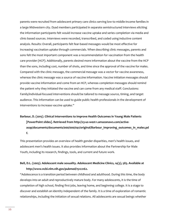parents were recruited from adolescent primary care clinics serving low-to middle-income families in a large Midwestern city. Dyad members participated in separate semistructured interviews eliciting the information participants felt would increase vaccine uptake and series completion via media and clinic-based sources. Interviews were recorded, transcribed, and coded using inductive content analysis. Results: Overall, participants felt fear-based messages would be most effective for increasing vaccination uptake through commercials. When describing clinic messages, parents and sons felt the most important component was a recommendation for vaccination from the health care provider (HCP). Additionally, parents desired more information about the vaccine from the HCP than the sons, including cost, number of shots, and time since the approval of the vaccine for males. Compared with the clinic message, the commercial message was a vector for vaccine awareness, whereas the clinic message was a source of vaccine information. Vaccine initiation messages should provide vaccine information and come from an HCP, whereas completion messages should remind the patient why they initiated the vaccine and can come from any medical staff. Conclusions: Family/individual-focused interventions should be tailored to message source, timing, and target audience. This information can be used to guide public health professionals in the development of interventions to increase vaccine uptake."

#### **Barbour, D. (2015). Clinical Interventions to Improve Health Outcomes in Young Male Patients [PowerPoint slides]. Retrieved fro[m http://s3-us-west-1.amazonaws.com/active](http://s3-us-west-1.amazonaws.com/active-asap/documents/)[asap/documents/d](http://s3-us-west-1.amazonaws.com/active-asap/documents/)ocuments/000/000/041/original/Barbour\_Improving\_outcomes\_in\_males.pd f.**

This presentation provides an overview of health gender disparities, men's health issues, and adolescent men's health issues. It also provides information about the Partnership for Male Youth, including its research, findings, tools, and current and future work.

#### **Bell, D.L. (2003). Adolescent male sexuality. Adolescent Medicine Clinics, 14(3), 583. Available at http://www.ncbi.nlm.nih.gov/pubmed/15122162.**

"Adolescence is a transition period between childhood and adulthood. During this time, the body develops into an adult and reproductively mature body. For many adolescents, it is the time of completion of high school, finding first jobs, leaving home, and beginning college. It is a stage to discover and establish an identity independent of the family. It is a time of exploration of romantic relationships, including the initiation of sexual relations. All adolescents are sexual beings whether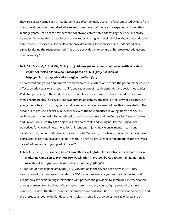they are sexually active or not. Adolescents are often sexually active—a fact supported by data from many developed countries. Most adolescent males have their first sexual experience during their teenage years. Health care providers are not always comfortable addressing their sexual activity, however. Only one third of adolescent males report talking with their clinician about a reproductive health topic. It is essential for health care providers caring for adolescents to understand male sexuality during the teenage period. This article provides an overview of heterosexual adolescent male sexuality."

#### **Bell, D.L., Breland, D. J., & Ott, M. A. (2013). Adolescent and young adult male health: A review.**  *Pediatrics***, 132(3), 535-546. doi:10.1542/peds.2012-3414 [doi]. Available at http://pediatrics.aappublications.org/content/132/3/535.**

"Adolescent and young adult men's health receives little attention, despite the potential for positive effects on adult quality and length of life and reduction of health disparities and social inequalities. Pediatric providers, as the medical home for adolescents, are well positioned to address young men's health needs. This review has two primary objectives. The first is to review the literature on young men's health, focusing on morbidity and mortality in key areas of health and well-being. The second is to provide a clinically relevant review of the best practices in young men's health. This review covers male health issues related to health care access and the Centers for Disease Control and Prevention's Healthy 2020 objectives for adolescents and young adults, focusing on the objectives for chronic illness, mortality, unintentional injury and violence, mental health and substance use, and reproductive and sexual health. We focus, in particular, on gender-specific issues, particularly in reproductive and sexual health. The review provides recommendations for the overall care of adolescent and young adult males."

#### **Cates, J.R., Diehl, S.J., Crandell, J.L., & Coyne-Beasley, T. (2014). Intervention effects from a social marketing campaign to promote HPV vaccination in preteen boys. Vaccine, 32(33), 4171-4178. Available at http://www.ncbi.nlm.nih.gov/pubmed/24886960.**

"Adoption of human papillomavirus (HPV) vaccination in the US has been slow. In 2011, HPV vaccination of boys was recommended by CDC for routine use at ages 11–12. We conducted and evaluated a social marketing intervention with parents and providers to stimulate HPV vaccination among preteen boys. Methods: We targeted parents and providers of 9–13 year old boys in a 13 county NC region. The three-month intervention included distribution of HPV vaccination posters and brochures to all county health departments plus 194 enrolled providers; two radio PSAs; and an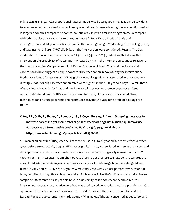online CME training. A Cox proportional hazards model was fit using NC immunization registry data to examine whether vaccination rates in 9–13 year old boys increased during the intervention period in targeted counties compared to control counties ( $n = 15$ ) with similar demographics. To compare with other adolescent vaccines, similar models were fit for HPV vaccination in girls and meningococcal and Tdap vaccination of boys in the same age range. Moderating effects of age, race, and Vaccines for Children (VFC) eligibility on the intervention were considered. Results: The Cox model showed an intervention effect ( $\degree$  = 0.29, HR = 1.34, p = .0024), indicating that during the intervention the probability of vaccination increased by 34% in the intervention counties relative to the control counties. Comparisons with HPV vaccination in girls and Tdap and meningococcal vaccination in boys suggest a unique boost for HPV vaccination in boys during the intervention. Model covariates of age, race, and VFC eligibility were all significantly associated with vaccination rates (p < .0001 for all). HPV vaccination rates were highest in the 11–12 year old boys. Overall, three of every four clinic visits for Tdap and meningococcal vaccines for preteen boys were missed opportunities to administer HPV vaccination simultaneously. Conclusions: Social marketing techniques can encourage parents and health care providers to vaccinate preteen boys against HPV."

#### **Cates, J.R., Ortiz, R., Shafer, A., Romocki, L.S., & Coyne‐Beasley, T. (2012). Designing messages to motivate parents to get their preteenage sons vaccinated against human papillomavirus.**  *Perspectives on Sexual and Reproductive Health***, 44(1), 39-47. Available at http://www.ncbi.nlm.nih.gov/pmc/articles/PMC3306606/.**

"Human papillomavirus (HPV) vaccine, licensed for use in 9- to 26-year olds, is most effective when given before sexual activity begins. HPV causes genital warts, is associated with several cancers, and disproportionately affects racial and ethnic minorities. Parents are typically unaware of the HPV vaccine for men; messages that might motivate them to get their pre-teenage sons vaccinated are unexplored. Methods: Messages promoting vaccination of pre-teenage boys were designed and tested in 2009 and 2010. Five focus groups were conducted with 29 black parents of 11-12-year-old boys, recruited through three churches and a middle school in North Carolina, and a racially diverse sample of 100 parents of 9-13-year-old boys in a university-based adolescent health clinic was interviewed. A constant comparison method was used to code transcripts and interpret themes. Chisquare and t tests or analyses of variance were used to assess differences in quantitative data. Results: Focus group parents knew little about HPV in males. Although concerned about safety and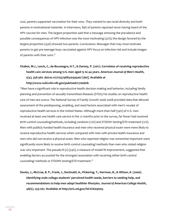cost, parents supported vaccination for their sons. They wanted to see racial diversity and both parents in motivational materials. In interviews, 89% of parents reported never having heard of the HPV vaccine for men. The largest proportion said that a message stressing the prevalence and possible consequences of HPV infection was the most motivating (32%); the design favored by the largest proportion (43%) showed two parents. Conclusions: Messages that may most motivate parents to get pre-teenage boys vaccinated against HPV focus on infection risk and include images of parents with their sons."

#### **Chabot, M.J., Lewis, C., de Bocanegra, H.T., & Darney, P. (2011). Correlates of receiving reproductive health care services among U.S. men aged 15 to 44 years.** *American Journal of Men's Health***, 5(4), 358-366. doi:10.1177/1557988310395007 [doi]. Available at http://www.ncbi.nlm.nih.gov/pubmed/21700668.**

"Men have a significant role in reproductive health decision making and behavior, including family planning and prevention of sexually transmitted diseases (STDs).Yet studies on reproductive health care of men are scarce. The National Survey of Family Growth 2006-2008 provided data that allowed assessment of the predisposing, enabling, and need factors associated with men's receipt of reproductive health services in the United States. Although more than half (54%) of U.S. men received at least one health care service in the 12 months prior to the survey, far fewer had received birth control counseling/methods, including condoms (12%) and STD/HIV testing/STD treatment (12%). Men with publicly funded health insurance and men who received physical exam were more likely to receive reproductive health services when compared with men with private health insurance and men who did not receive a physical exam. Men who reported religion was somewhat important were significantly more likely to receive birth control counseling/ methods than men who stated religion was very important. The pseudo-R (2) (54%), a measure of model fit improvement, suggested that enabling factors accounted for the strongest association with receiving either birth control counseling/ methods or STD/HIV testing/STD treatment."

**Davies, J., McCrae, B. P., Frank, J., Dochnahl, A., Pickering, T., Harrison, B., & Wilson, K. (2000). Identifying male college students' perceived health needs, barriers to seeking help, and recommendations to help men adopt healthier lifestyles.** *Journal of American College Health***, 48(6), 259-267. Available at http://eric.ed.gov/?id=EJ609009.**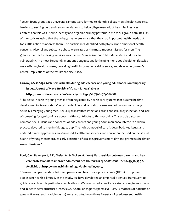"Seven focus groups at a university campus were formed to identify college men's health concerns, barriers to seeking help and recommendations to help college men adopt healthier lifestyles. Content analysis was used to identify and organize primary patterns in the focus group data. Results of the study revealed that the college men were aware that they had important health needs but took little action to address them. The participants identified both physical and emotional health concerns. Alcohol and substance abuse were rated as the most important issues for men. The greatest barrier to seeking services was the men's socialization to be independent and conceal vulnerability. The most frequently mentioned suggestions for helping men adopt healthier lifestyles were offering health classes, providing health information call-in service, and developing a men's center. Implications of the results are discussed."

#### **Farrow, J.A. (2009). Male sexual health during adolescence and young adulthood: Contemporary issues.** *Journal of Men's Health***, 6(3), 177-182. Available at**

**http://www.sciencedirect.com/science/article/pii/S1875686709000682.** 

"The sexual health of young men is often neglected by health care systems that assume healthy developmental trajectories. Clinical morbidities and sexual concerns are not uncommon among sexually emerging young men. Sexually-transmitted infections, transient sexual dysfunction, and lack of screening for genitourinary abnormalities contribute to this morbidity. This article discusses common sexual issues and concerns of adolescents and young adult men encountered in a clinical practice devoted to men in this age group. The holistic model of care is described. Key issues and updated clinical approaches are discussed. Health care services and education focused on the sexual health of young men improves early detection of disease, prevents morbidity and promotes healthier sexual lifestyles."

#### **Ford, C.A., Davenport, A.F., Meier, A., & McRee, A. (2011). Partnerships between parents and health care professionals to improve adolescent health.** *Journal of Adolescent Health***, 49(1), 53-57. Available at http://www.ncbi.nlm.nih.gov/pubmed/21700157.**

"Research on partnerships between parents and health care professionals (HCPs) to improve adolescent health is limited. In this study, we have developed an empirically derived framework to guide research in this particular area. Methods: We conducted a qualitative study using focus groups and in-depth semi-structured interviews. A total of 85 participants (51 HCPs, 17 mothers of patients of ages 1218 years, and 17 adolescents) were recruited from three free-standing adolescent health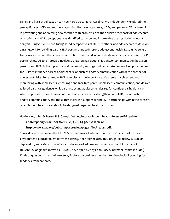clinics and five school-based health centers across North Carolina. We independently explored the perceptions of HCPs and mothers regarding the roles of parents, HCPs, and parent-HCP partnerships in preventing and addressing adolescent health problems. We then elicited feedback of adolescents on mother and HCP perceptions. We identified common and informative themes during content analysis using ATLAS.ti, and triangulated perspectives of HCPs, mothers, and adolescents to develop a framework for building parent-HCP partnerships to improve adolescent health. Results: A general framework emerged that conceptualizes both direct and indirect strategies for building parent-HCP partnerships. Direct strategies involve strengthening relationships and/or communication between parents and HCPs in both practice and community settings. Indirect strategies involve opportunities for HCPs to influence parent-adolescent relationships and/or communication within the context of adolescent visits. For example, HCPs can discuss the importance of parental involvement and monitoring with adolescents, encourage and facilitate parent-adolescent communication, and deliver tailored parental guidance while also respecting adolescents' desires for confidential health care when appropriate. Conclusions: Interventions that directly strengthen parent-HCP relationships and/or communication, and those that indirectly support parent-HCP partnerships within the context of adolescent health care, should be designed targeting health outcomes."

#### **Goldenring, J.M., & Rosen, D.S. (2004). Getting into adolescent heads: An essential update.**  *Contemporary Pediatrics-Montvale-***, 21(1), 64-92. Available at http://www2.aap.org/pubserv/psvpreview/pages/files/headss.pdf.**

"Provides information on the HEEADSSS psychosocial interview, or the assessment of the home environment, education, employment, eating, peer-related activities, drugs, sexuality, suicide or depression, and safety from injury and violence of adolescent patients in the U.S. History of HEEADSSS, originally known as HEADSS developed by physician Harvey Berman; [topics include:] Kinds of questions to ask adolescents; Factors to consider after the interview, including asking for feedback from patients."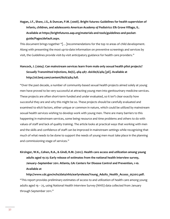**Hagan, J.F., Shaw, J.S., & Duncan, P.M. (2008). Bright futures: Guidelines for health supervision of infants, children, and adolescents** *American Academy of Pediatrics***: Elk Grove Village, IL. Available at https://brightfutures.aap.org/materials-and-tools/guidelines-and-pocketguide/Pages/default.aspx.** 

This document brings together "[…]recommendations for the top 10 areas of child development. Along with presenting the most up-to-date information on preventive screenings and services by visit, the Guidelines provide visit-by-visit anticipatory guidance for health care providers."

#### **Hancock, J. (2004). Can mainstream services learn from male only sexual health pilot projects?**  *Sexually Transmitted Infections***, 80(6), 484-487. doi:80/6/484 [pii]. Available at http://sti.bmj.com/content/80/6/484.full.**

"Over the past decade, a number of community-based sexual health projects aimed solely at young men have proved to be very successful at attracting young men into genitourinary medicine services. These projects are often short-term funded and under evaluated, so it isn't clear exactly how successful they are and why this might be so. These projects should be carefully evaluated and examined to elicit factors, either unique or common in nature, which could be utilized by mainstream sexual health services wishing to develop work with young men. There are many barriers to this happening in mainstream services, some being resource and time problems and others to do with values of staff and lack of quality training. The article looks at practical ways that working with men and the skills and confidence of staff can be improved in mainstream settings while recognizing that much of what needs to be done to support the needs of young men must take place in the planning and commissioning stage of services."

#### **Kirzinger, W.K., Cohen, R.A., & Gindi, R.M. (2012). Health care access and utilization among young adults aged 19-25: Early release of estimates from the national health interview survey, January–September 2011. Atlanta, GA: Centers for Disease Control and Prevention, 1-10. Available at**

**http://www.cdc.gov/nchs/data/nhis/earlyrelease/Young\_Adults\_Health\_Access\_052012.pdf.**  "This report provides preliminary estimates of access to and utilization of health care among young adults aged 19 – 25, using National Health Interview Survey (NHIS) data collected from January through September 2011."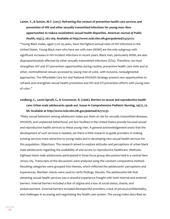**Lanier, Y., & Sutton, M.Y. (2013). Reframing the context of preventive health care services and prevention of HIV and other sexually transmitted infections for young men: New opportunities to reduce racial/ethnic sexual health disparities.** *American Journal of Public Health***, 103(2), 262-269. Available at http://www.ncbi.nlm.nih.gov/pubmed/23237172.** 

"Young Black males, aged 13 to 29 years, have the highest annual rates of HIV infections in the United States. Young Black men who have sex with men (MSM) are the only subgroup with significant increases in HIV incident infections in recent years. Black men, particularly MSM, are also disproportionately affected by other sexually transmitted infections (STIs). Therefore, we must strengthen HIV and STI prevention opportunities during routine, preventive health care visits and at other, nontraditional venues accessed by young men of color, with inclusive, nonjudgmental approaches. The Affordable Care Act and National HIV/AIDS Strategy present new opportunities to reframe and strengthen sexual health promotion and HIV and STI prevention efforts with young men of color."

#### **Lindberg, C., Lewis-Spruill, C., & Crownover, R. (2006). Barriers to sexual and reproductive health care: Urban male adolescents speak out. Issues in Comprehensive Pediatric Nursing, 29(2), 73- 88. Available at http://www.ncbi.nlm.nih.gov/pubmed/16772237.**

"Risky sexual behaviors among adolescent males put them at risk for sexually transmitted diseases, HIV/AIDS, and unplanned fatherhood, yet few facilities in the United States provide focused sexual and reproductive health services to these young men. A general acknowledgement exists that the development of such services is needed, yet there is little research to guide providers in making existing services more attractive to young males and in developing new sexual health services for this population. Objectives: This research aimed to explore attitudes and perceptions of urban black male adolescents regarding the availability of and access to reproductive healthcare. Methods: Eighteen black male adolescents participated in three focus group discussions held in a central New Jersey city. Transcripts of the discussions were analyzed using the constant comparative method. Resulting categories were grouped into themes, which reflected the adolescents' perceptions and experiences. Member checks were used to verify findings. Results: The adolescents felt that obtaining sexual health services was a stressful experience fraught with both internal and external barriers. Internal barriers included a fear of stigma and a loss of social status, shame, and embarrassment. External barriers included disrespectful providers, a lack of privacy/confidentiality, and challenges in accessing and negotiating the health care system. The young males described an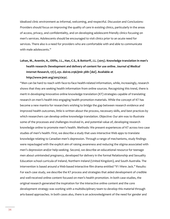idealized clinic environment as informal, welcoming, and respectful. Discussion and Conclusions: Providers should focus on improving the quality of care in existing clinics, particularly in the areas of access, privacy, and confidentiality, and on developing adolescent-friendly clinics focusing on men's services. Adolescents should be encouraged to visit clinics prior to an acute need for services. There also is a need for providers who are comfortable with and able to communicate with male adolescents."

#### **Lohan, M., Aventin, A., Oliffe, J.L., Han, C.S., & Bottorff, J.L. (2015). Knowledge translation in men's health research: Development and delivery of content for use online.** *Journal of Medical Internet Research***, 17(1), e31. doi:10.2196/jmir.3881 [doi]. Available at http://www.jmir.org/2015/1/e31/.**

"Men can be hard to reach with face-to-face health-related information, while, increasingly, research shows that they are seeking health information from online sources. Recognizing this trend, there is merit in developing innovative online knowledge translation (KT) strategies capable of translating research on men's health into engaging health promotion materials. While the concept of KT has become a new mantra for researchers wishing to bridge the gap between research evidence and improved health outcomes, little is written about the process, necessary skills, and best practices by which researchers can develop online knowledge translation. Objective: Our aim was to illustrate some of the processes and challenges involved in, and potential value of, developing research knowledge online to promote men's health. Methods: We present experiences of KT across two case studies of men's health. First, we describe a study that uses interactive Web apps to translate knowledge relating to Canadian men's depression. Through a range of mechanisms, study findings were repackaged with the explicit aim of raising awareness and reducing the stigma associated with men's depression and/or help-seeking. Second, we describe an educational resource for teenage men about unintended pregnancy, developed for delivery in the formal Relationship and Sexuality Education school curricula of Ireland, Northern Ireland (United Kingdom), and South Australia. The intervention is based around a Web-based interactive film drama entitled "If I Were Jack." Results: For each case study, we describe the KT process and strategies that aided development of credible and well-received online content focused on men's health promotion. In both case studies, the original research generated the inspiration for the interactive online content and the core development strategy was working with a multidisciplinary team to develop this material through arts-based approaches. In both cases also, there is an acknowledgment of the need for gender and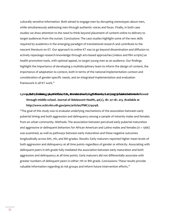culturally sensitive information. Both aimed to engage men by disrupting stereotypes about men, while simultaneously addressing men through authentic voices and faces. Finally, in both case studies we draw attention to the need to think beyond placement of content online to delivery to target audiences from the outset. Conclusions: The case studies highlight some of the new skills required by academics in the emerging paradigm of translational research and contribute to the nascent literature on KT. Our approach to online KT was to go beyond dissemination and diffusion to actively repackage research knowledge through arts-based approaches (videos and film scripts) as health promotion tools, with optimal appeal, to target young men as an audience. Our findings highlight the importance of developing a multidisciplinary team to inform the design of content, the importance of adaptation to context, both in terms of the national implementation context and consideration of gender-specific needs, and an integrated implementation and evaluation framework in all KT work."

#### Lynnpu**bertal timing, peen ich behaviors, and externalizing behaviors am (ong urban students ehollowed**

**through middle school. Journal of Adolescent Health, 40(2), 181. e7-181. e13. Available at http://www.ncbi.nlm.nih.gov/pmc/articles/PMC2744148.** 

"The goal of this study was to evaluate underlying mechanisms of the association between early pubertal timing and both aggression and delinquency among a sample of minority males and females from an urban community. Methods: The association between perceived early pubertal maturation and aggressive or delinquent behaviors for African American and Latino males and females (n = 1366) was examined, as well as pathways between early maturation and these negative outcomes longitudinally across 6th, 7th, and 8th grades. Results: Early maturers reported higher mean levels of both aggression and delinquency at all time points regardless of gender or ethnicity. Associating with delinquent peers in 6th grade fully mediated the association between early maturation and both aggression and delinquency at all time points. Early maturers did not differentially associate with greater numbers of delinquent peers in either 7th or 8th grade. Conclusions: These results provide valuable information regarding at-risk groups and inform future intervention efforts."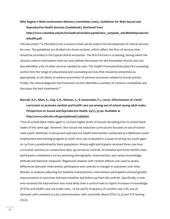#### **MAC Region II Male Involvement Advisory Committee (2005). Guidelines for Male Sexual and Reproductive Health Services [Guidebook]. Retrieved from [http://www.columbia.edu/itc/hs/medical/residency/peds/new\\_compeds\\_site/MaleReproductiv](http://www.columbia.edu/itc/hs/medical/residency/peds/new_compeds_site/MaleReproductiveHealth.pdf) [eHealth.pdf.](http://www.columbia.edu/itc/hs/medical/residency/peds/new_compeds_site/MaleReproductiveHealth.pdf)**

This document "is intended to be a resource that can be used in the development of clinical services for men. The guidelines are divided into three sections, which reflect the flow of services that should be provided in the typical clinical encounter. The first function is screening, during which the clinician collects information that not only defines the reason for the immediate clinical visit, but also identifies a list of other services needed by men. The Health Promotion/Education & Counseling section lists the range of educational and counseling services that should be presented, as appropriate, to all clients to achieve prevention of adverse outcomes related to sexual activity. Finally, the clinical diagnosis and treatment section identifies a number of common morbidities and discusses the best treatments."

#### **Marcell, A.V., Allan, E., Clay, E.A., Watson, C., & Sonenstein, F.L. (2013). Effectiveness of a brief curriculum to promote condom and health care use among out‐of‐school young adult males.**  *Perspectives on Sexual and Reproductive Health***, 45(1), 33-40. Available at http://www.ncbi.nlm.nih.gov/pubmed/23489856.**

"Out-of-school black males aged 15–24 have higher levels of sexual risk-taking than in-school black males of the same age. However, few sexual risk reduction curricula are focused on out-of-school male youth. Methods: A sexual and reproductive health intervention conducted at a Baltimore youth employment and training program in 2008–2010 was evaluated in a study involving 197 youth aged 16–24 from a predominantly black population. Ninety-eight participants received three one-hour curriculum sessions on consecutive days; 99 served as controls. At baseline and three months later, participants completed a survey assessing demographic characteristics and various knowledge, attitude and behavior measures. Regression analysis with random effects was used to assess differences between intervention participants and controls in changes in outcomes over time. Results: In analyses adjusting for baseline characteristics, intervention participants showed greater improvements in outcomes between baseline and follow-up than did controls. Specifically, a man who received the intervention was more likely than a control man to report increases in knowledge of STDs and health care use (odds ratio, 1.6 for each), frequency of condom use (1.8), use of lubricant with condoms (23.6), communication with a provider about STDs (12.3) and STD testing  $(16.6)$ .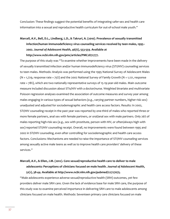Conclusion: These findings suggest the potential benefits of integrating safer-sex and health care information into a sexual and reproductive health curriculum for out-of-school male youth."

#### **Marcell, A.V., Bell, D.L., Lindberg, L.D., & Takruri, A. (2010). Prevalence of sexually transmitted infection/human immunodeficiency virus counseling services received by teen males, 1995– 2002.** *Journal of Adolescent Health***, 46(6), 553-559. Available at http://www.ncbi.nlm.nih.gov/pmc/articles/PMC2872777.**

The purpose of this study was "To examine whether improvements have been made in the delivery of sexually transmitted infection and/or human immunodeficiency virus (STI/HIV) counseling services to teen males. Methods: Analysis was performed using the 1995 National Survey of Adolescent Males  $(N = 1,729)$ , response rate = 75%) and the 2002 National Survey of Family Growth  $(N = 1,121)$ , response rate = 78%), which are two nationally representative surveys of 15-19-year-old males. Main outcome measure included discussion about STIs/HIV with a doctor/nurse. Weighted bivariate and multivariate Poisson regression analyses examined the association of outcome measures and survey year among males engaging in various types of sexual behaviors (e.g., varying partner numbers, higher risk sex) unadjusted and adjusted for sociodemographic and health care access factors. Results: In 2002, STI/HIV counseling receipt in the past year was reported by one-third of males who reported three or more female partners, anal sex with female partners, or oral/anal sex with male partners. Only 26% of males reporting high-risk sex (e.g., sex with prostitute, person with HIV, or often/always high with sex) reported STI/HIV counseling receipt. Overall, no improvements were found between 1995 and 2002 in STI/HIV counseling, even after controlling for sociodemographic and health care access factors. Conclusions: Mechanisms are needed to raise the importance of STI/HIV counseling services among sexually active male teens as well as to improve health care providers' delivery of these services."

#### **Marcell, A.V., & Ellen, J.M. (2012). Core sexual/reproductive health care to deliver to male adolescents: Perceptions of clinicians focused on male health.** *Journal of Adolescent Health***, 51(1), 38-44. Available at http://www.ncbi.nlm.nih.gov/pubmed/22727075.**

"Male adolescents experience adverse sexual/reproductive health (SRH) outcomes, yet few providers deliver male SRH care. Given the lack of evidence base for male SRH care, the purpose of this study was to examine perceived importance in delivering SRH care to male adolescents among clinicians focused on male health. Methods: Seventeen primary care clinicians focused on male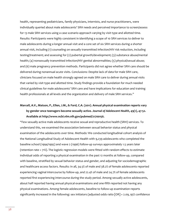health, representing pediatricians, family physicians, internists, and nurse practitioners, were individually queried about male adolescents' SRH needs and perceived importance to screen/assess for 13 male SRH services using a case scenario approach varying by visit type and allotted time. Results: Participants were highly consistent in identifying a scope of 10 SRH services to deliver to male adolescents during a longer annual visit and a core set of six SRH services during a shorter annual visit, including (1) counseling on sexually transmitted infection/HIV risk reduction, including testing/treatment; and assessing for (2) pubertal growth/development; (3) substance abuse/mental health; (4) nonsexually transmitted infection/HIV genital abnormalities; (5) physical/sexual abuse; and (6) male pregnancy prevention methods. Participants did not agree whether SRH care should be delivered during nonannual acute visits. Conclusions: Despite lack of data for male SRH care, clinicians focused on male health strongly agreed on male SRH care to deliver during annual visits that varied by visit type and allotted time. Study findings provide a foundation for much needed clinical guidelines for male adolescents' SRH care and have implications for education and training health professionals at all levels and the organization and delivery of male SRH services."

#### **Marcell, A.V., Matson, P., Ellen, J.M., & Ford, C.A. (2011). Annual physical examination reports vary by gender once teenagers become sexually active.** *Journal of Adolescent Health***, 49(1), 47-52. Available at http://www.ncbi.nlm.nih.gov/pubmed/21700156.**

"Few sexually active male adolescents receive sexual and reproductive health (SRH) services. To understand this, we examined the association between sexual behavior status and physical examination of the adolescents over time. Methods: We conducted longitudinal cohort analysis of the National Longitudinal Study of Adolescent Health with 9,239 adolescents who completed the baseline school (1994/1995) and wave 2 (1996) follow-up surveys approximately 1.5 years later (retention rate = 71%). The logistic regression models were fitted with random effects to estimate individual odds of reporting a physical examination in the past 12 months at follow-up, compared with baseline, stratified by sexual behavior status and gender, and adjusting for sociodemographic and healthcare access factors. Results: In all, 34.5% of male and 38.2% of female adolescents reported experiencing vaginal intercourse by follow-up, and 22.4% of male and 24.7% of female adolescents reported first experiencing intercourse during the study period. Among sexually active adolescents, about half reported having annual physical examinations and one-fifth reported not having any physical examinations. Among female adolescents, baseline to follow-up examination reports significantly increased in the following: sex initiators (adjusted odds ratio [OR] = 2.09, 95% confidence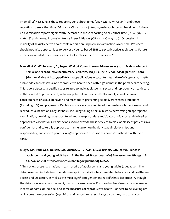interval  $\lceil$ CI] = 1.662.64); those reporting sex at both times (OR = 2.16, CI = 1.513.09); and those reporting no sex either time (OR = 2.47, CI = 2.003.04). Among male adolescents, baseline to followup examination reports significantly increased in those reporting no sex either time (OR = 1.57, CI = 1.261.96) and showed increasing trends in sex initiators (OR = 1.27, CI = .921.76). Discussion: A majority of sexually active adolescents report annual physical examinations over time. Providers should not miss opportunities to deliver evidence-based SRH to sexually active adolescents. Future efforts are needed to increase access of all adolescents to SRH services."

#### **Marcell, A.V., Wibbelsman, C., Seigel, W.M., & Committee on Adolescence. (2011). Male adolescent sexual and reproductive health care. Pediatrics, 128(6), e1658-76. doi:10.1542/peds.2011-2384**

**[doi]. Available at http://pediatrics.aappublications.org/content/early/2011/11/22/peds.2011-2384.**  "Male adolescents' sexual and reproductive health needs often go unmet in the primary care setting. This report discusses specific issues related to male adolescents' sexual and reproductive health care in the context of primary care, including pubertal and sexual development, sexual behavior, consequences of sexual behavior, and methods of preventing sexually transmitted infections (including HIV) and pregnancy. Pediatricians are encouraged to address male adolescent sexual and reproductive health on a regular basis, including taking a sexual history, performing an appropriate examination, providing patient-centered and age-appropriate anticipatory guidance, and delivering appropriate vaccinations. Pediatricians should provide these services to male adolescent patients in a confidential and culturally appropriate manner, promote healthy sexual relationships and responsibility, and involve parents in age-appropriate discussions about sexual health with their sons."

#### **Mulye, T.P., Park, M.J., Nelson, C.D., Adams, S. H., Irwin, C.E., & Brindis, C.D. (2009). Trends in adolescent and young adult health in the United States.** *Journal of Adolescent Health***, 45(1), 8- 24. Available at http://www.ncbi.nlm.nih.gov/pubmed/19541245.**

"This review presents a national health profile of adolescents and young adults (ages 10-24). The data presented include trends on demographics, mortality, health-related behaviors, and health care access and utilization, as well as the most significant gender and racial/ethnic disparities. Although the data show some improvement, many concerns remain. Encouraging trends—such as decreases in rates of homicide, suicide, and some measures of reproductive health—appear to be leveling off or, in some cases, reversing (e.g., birth and gonorrhea rates). Large disparities, particularly by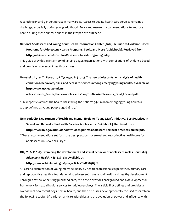race/ethnicity and gender, persist in many areas. Access to quality health care services remains a challenge, especially during young adulthood. Policy and research recommendations to improve health during these critical periods in the lifespan are outlined."

**National Adolescent and Young Adult Health Information Center (2014). A Guide to Evidence-Based Programs for Adolescent Health: Programs, Tools, and More [Guidebook]. Retrieved from [http://nahic.ucsf.edu/download/evidence-based-program-guide/.](http://nahic.ucsf.edu/download/evidence-based-program-guide/)** 

This guide provides an inventory of landing pages/organizations with compilations of evidence-based and promising adolescent health practices.

**Neinstein, L., Lu, Y., Perez, L., & Tysinger, B. (2013). The new adolescents: An analysis of health conditions, behaviors, risks, and access to services among emerging young adults. Available at http://www.usc.edu/student-**

**affairs/Health\_Center/thenewadolescents/doc/TheNewAdolescents\_Final\_Locked.pdf.** 

"This report examines the health risks facing the nation's 34.6 million emerging young adults, a group defined as young people aged 18–25."

**New York City Department of Health and Mental Hygiene, Young Men's Initiative. Best Practices in Sexual and Reproductive Health Care for Adolescents [Guidebook]. Retrieved from [http://www.nyc.gov/html/doh/downloads/pdf/ms/adolescent-sex-best-practices-online.pdf.](http://www.nyc.gov/html/doh/downloads/pdf/ms/adolescent-sex-best-practices-online.pdf)** 

"These recommendations set forth the best practices for sexual and reproductive health care for adolescents in New York City."

**Ott, M. A. (2010). Examining the development and sexual behavior of adolescent males.** *Journal of Adolescent Health***, 46(4), S3-S11. Available at** 

**http://www.ncbi.nlm.nih.gov/pmc/articles/PMC2858917.** 

"A careful examination of young men's sexuality by health professionals in pediatrics, primary care, and reproductive health is foundational to adolescent male sexual health and healthy development. Through a review of existing published data, this article provides background and a developmental framework for sexual health services for adolescent boys. The article first defines and provides an overview of adolescent boys' sexual health, and then discusses developmentally focused research on the following topics: (1) early romantic relationships and the evolution of power and influence within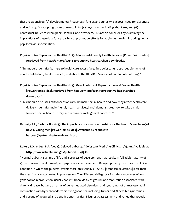these relationships; (2) developmental "readiness" for sex and curiosity; (3) boys' need for closeness and intimacy; (4) adopting codes of masculinity; (5) boys' communicating about sex; and (6) contextual influences from peers, families, and providers. This article concludes by examining the implications of these data for sexual health promotion efforts for adolescent males, including human papillomavirus vaccination."

#### **Physicians for Reproductive Health (2015). Adolescent-Friendly Health Services [PowerPoint slides]. Retrieved fro[m http://prh.org/teen-reproductive-health/arshep-downloads/.](http://prh.org/teen-reproductive-health/arshep-downloads/)**

"This module identifies barriers to health care access faced by adolescents, describes elements of adolescent-friendly health services, and utilizes the HEEADSSS model of patient interviewing."

#### **Physicians for Reproductive Health (2015). Male Adolescent Reproductive and Sexual Health [PowerPoint slides]. Retrieved fro[m http://prh.org/teen-reproductive-health/arshep](http://prh.org/teen-reproductive-health/arshep-downloads/)[downloads/.](http://prh.org/teen-reproductive-health/arshep-downloads/)**

"This module discusses misconceptions around male sexual health and how they affect health care delivery, identifies male-friendly health services, [and] demonstrates how to take a malefocused sexual health history and recognize male genital concerns."

#### **Rafferty J.A., Barbour D. (2015). The importance of close relationships for the health & wellbeing of boys & young men [PowerPoint slides]. Available by request to barbour@patnershipformaleyouth.org**

**Reiter, E.O., & Lee, P.A. (2002). Delayed puberty. Adolescent Medicine Clinics, 13(1), 101. Available at http://www.ncbi.nlm.nih.gov/pubmed/11841958.** 

"Normal puberty is a time of life and a process of development that results in full adult maturity of growth, sexual development, and psychosocial achievement. Delayed puberty describes the clinical condition in which the pubertal events start late (usually > +2.5 SD [standard deviations] later than the mean) or are attenuated in progression. The differential diagnosis includes syndromes of low gonadotropin production, usually constitutional delay of growth and maturation associated with chronic disease, but also an array of gene-mediated disorders, and syndromes of primary gonadal dysfunction with hypergonadotropic hypogonadism, including Turner and Klinefelter syndromes, and a group of acquired and genetic abnormalities. Diagnostic assessment and varied therapeutic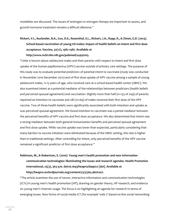modalities are discussed. The issues of androgen or estrogen therapy are important to assess, and growth hormone treatment remains a difficult dilemma."

### **Rickert, V.I., Auslander, B.A., Cox, D.S., Rosenthal, S.L., Rickert, J.A., Rupp, R., & Zimet, G.D. (2014). School-based vaccination of young US males: Impact of health beliefs on intent and first dose acceptance. Vaccine, 32(17), 1982-1987. Available at**

**http://www.ncbi.nlm.nih.gov/pubmed/24492015.** 

"Little is known about adolescent males and their parents with respect to intent and first dose uptake of the human papillomavirus (HPV) vaccine outside of primary care settings. The purpose of this study was to evaluate potential predictors of parental intent to vaccinate (study was conducted in November 2010-December 2012) and of first dose uptake of HPV vaccine among a sample of young adolescent males, 11-15 years of age, who received care at a school-based health center (SBHC). We also examined intent as a potential mediator of the relationships between predictors (health beliefs and perceived spousal agreement) and vaccination. Slightly more than half (n=135 of 249) of parents reported an intention to vaccinate and 28% (n=69) of males received their first dose of the HPV vaccine. Two of three health beliefs were significantly associated with both intention and uptake as was perceived spousal agreement. We found intention to vaccinate was a partial mediator between the perceived benefits of HPV vaccine and first dose acceptance. We also determined that intent was a strong mediator between both general immunization benefits and perceived spousal agreement and first dose uptake. While vaccine uptake was lower than expected, particularly considering that many barriers to vaccine initiation were eliminated because of the SBHC setting, this rate is higher than in traditional settings. After controlling for intent, only perceived benefits of the HPV vaccine remained a significant predictor of first dose acceptance."

#### **Robinson, M., & Robertson, S. (2010). Young men's health promotion and new information communication technologies: Illuminating the issues and research agendas.** *Health Promotion International***, 25(3), 363-370. doi:10.1093/heapro/daq022 [doi]. Available at http://heapro.oxfordjournals.org/content/25/3/363.abstract.**

"The article examines the use of newer, interactive information and communication technologies (ICTs) in young men's health promotion (HP), drawing on gender theory, HP research, and evidence on young men's Internet usage. The focus is on highlighting an agenda for research in terms of emerging issues. New forms of social media ICT (for example 'web 2'-based on-line social networking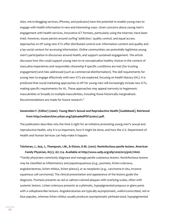sites, micro-blogging services, iPhones, and podcasts) have the potential to enable young men to engage with health information in new and interesting ways. Given concerns about young men's engagement with health services, innovative ICT formats, particularly using the Internet, have been tried. However, issues persist around surfing 'addiction,' quality control, and equal access. Approaches to HP using new ICTs offer distributed control over information content and quality and a lay social context for accessing information. Online communities can potentially legitimize young men's participation in discourses around health, and support sustained engagement. The article discusses how this could support young men to re-conceptualize healthy choices in the context of masculine imperatives and responsible citizenship if specific conditions are met (for trusting engagement) and risks addressed (such as commercial disinformation). The skill requirements for young men to engage effectively with new ICTs are explored, focusing on health literacy (HL). It is predicted that social marketing approaches to HP for young men will increasingly include new ICTs, making specific requirements for HL. These approaches may appeal narrowly to hegemonic masculinities or broadly to multiple masculinities, including those historically marginalized. Recommendations are made for future research."

#### **Sonenstien F. (Editor) (2000). Young Men's Sexual and Reproductive Health [Guidebook]. Retrieved fro[m http://webarchive.urban.org/UploadedPDF/410027.pdf.](http://webarchive.urban.org/UploadedPDF/410027.pdf)**

The publication describes why the time is right for an initiative promoting young men's sexual and reproductive health, why it is so important, how it might be done, and how the U.S. Department of Health and Human Services can help make it happen.

**Teichman, J., Sea, J., Thompson, I.M., & Elston, D.M. (2010). Noninfectious penile lesions.** *American* 

*Family Physician***, 81(2), 167-174. Available at http://www.aafp.org/afp/2010/0115/p167.html.**  "Family physicians commonly diagnose and manage penile cutaneous lesions. Noninfectious lesions may be classified as inflammatory and papulosquamous (e.g., psoriasis, lichen sclerosus, angiokeratomas, lichen nitidus, lichen planus), or as neoplastic (e.g., carcinoma in situ, invasive squamous cell carcinoma). The clinical presentation and appearance of the lesions guide the diagnosis. Psoriasis presents as red or salmon-colored plaques with overlying scales, often with systemic lesions. Lichen sclerosus presents as a phimotic, hypopigmented prepuce or glans penis with a cellophane-like texture. Angiokeratomas are typically asymptomatic, wellcircumscribed, red or blue papules, whereas lichen nitidus usually produces asymptomatic pinhead-sized, hypopigmented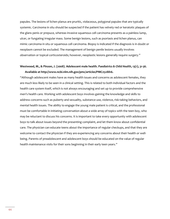papules. The lesions of lichen planus are pruritic, violaceous, polygonal papules that are typically systemic. Carcinoma in situ should be suspected if the patient has velvety red or keratotic plaques of the glans penis or prepuce, whereas invasive squamous cell carcinoma presents as a painless lump, ulcer, or fungating irregular mass. Some benign lesions, such as psoriasis and lichen planus, can mimic carcinoma in situ or squamous cell carcinoma. Biopsy is indicated if the diagnosis is in doubt or neoplasm cannot be excluded. The management of benign penile lesions usually involves observation or topical corticosteroids; however, neoplastic lesions generally require surgery."

#### **Westwood, M., & Pinzon, J. (2008). Adolescent male health.** *Paediatrics & Child Health***, 13(1), 31-36. Available at http://www.ncbi.nlm.nih.gov/pmc/articles/PMC2528816.**

"Although adolescent males have as many health issues and concerns as adolescent females, they are much less likely to be seen in a clinical setting. This is related to both individual factors and the health care system itself, which is not always encouraging and set up to provide comprehensive men's health care. Working with adolescent boys involves gaining the knowledge and skills to address concerns such as puberty and sexuality, substance use, violence, risk-taking behaviors, and mental health issues. The ability to engage the young male patient is critical, and the professional must be comfortable in initiating conversation about a wide array of topics with the teen boy, who may be reluctant to discuss his concerns. It is important to take every opportunity with adolescent boys to talk about issues beyond the presenting complaint, and let them know about confidential care. The physician can educate teens about the importance of regular checkups, and that they are welcome to contact the physician if they are experiencing any concerns about their health or wellbeing. Parents of preadolescent and adolescent boys should be educated on the value of regular health maintenance visits for their sons beginning in their early teen years."